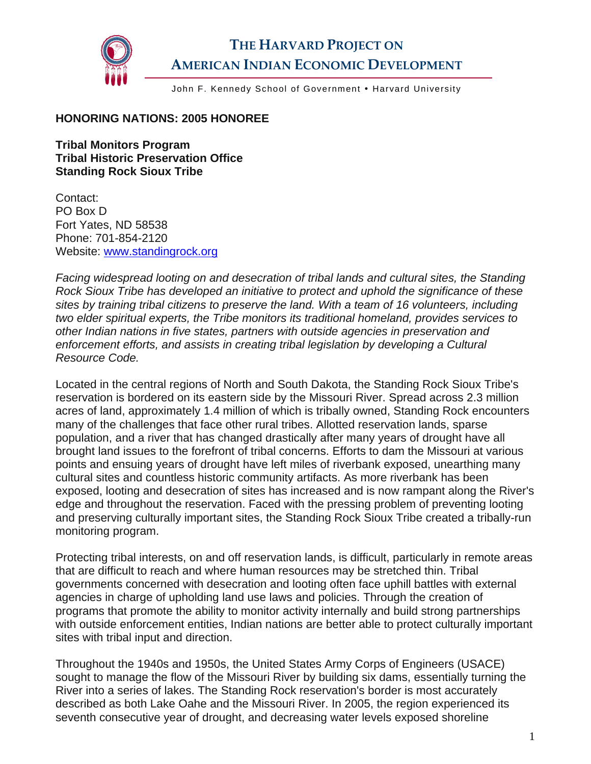

## **THE HARVARD PROJECT ON AMERICAN INDIAN ECONOMIC DEVELOPMENT**

John F. Kennedy School of Government . Harvard University

## **HONORING NATIONS: 2005 HONOREE**

**Tribal Monitors Program Tribal Historic Preservation Office Standing Rock Sioux Tribe** 

Contact: PO Box D Fort Yates, ND 58538 Phone: 701-854-2120 Website: [www.standingrock.org](http://www.standingrock.org/) 

*Facing widespread looting on and desecration of tribal lands and cultural sites, the Standing Rock Sioux Tribe has developed an initiative to protect and uphold the significance of these sites by training tribal citizens to preserve the land. With a team of 16 volunteers, including two elder spiritual experts, the Tribe monitors its traditional homeland, provides services to other Indian nations in five states, partners with outside agencies in preservation and enforcement efforts, and assists in creating tribal legislation by developing a Cultural Resource Code.* 

Located in the central regions of North and South Dakota, the Standing Rock Sioux Tribe's reservation is bordered on its eastern side by the Missouri River. Spread across 2.3 million acres of land, approximately 1.4 million of which is tribally owned, Standing Rock encounters many of the challenges that face other rural tribes. Allotted reservation lands, sparse population, and a river that has changed drastically after many years of drought have all brought land issues to the forefront of tribal concerns. Efforts to dam the Missouri at various points and ensuing years of drought have left miles of riverbank exposed, unearthing many cultural sites and countless historic community artifacts. As more riverbank has been exposed, looting and desecration of sites has increased and is now rampant along the River's edge and throughout the reservation. Faced with the pressing problem of preventing looting and preserving culturally important sites, the Standing Rock Sioux Tribe created a tribally-run monitoring program.

Protecting tribal interests, on and off reservation lands, is difficult, particularly in remote areas that are difficult to reach and where human resources may be stretched thin. Tribal governments concerned with desecration and looting often face uphill battles with external agencies in charge of upholding land use laws and policies. Through the creation of programs that promote the ability to monitor activity internally and build strong partnerships with outside enforcement entities, Indian nations are better able to protect culturally important sites with tribal input and direction.

Throughout the 1940s and 1950s, the United States Army Corps of Engineers (USACE) sought to manage the flow of the Missouri River by building six dams, essentially turning the River into a series of lakes. The Standing Rock reservation's border is most accurately described as both Lake Oahe and the Missouri River. In 2005, the region experienced its seventh consecutive year of drought, and decreasing water levels exposed shoreline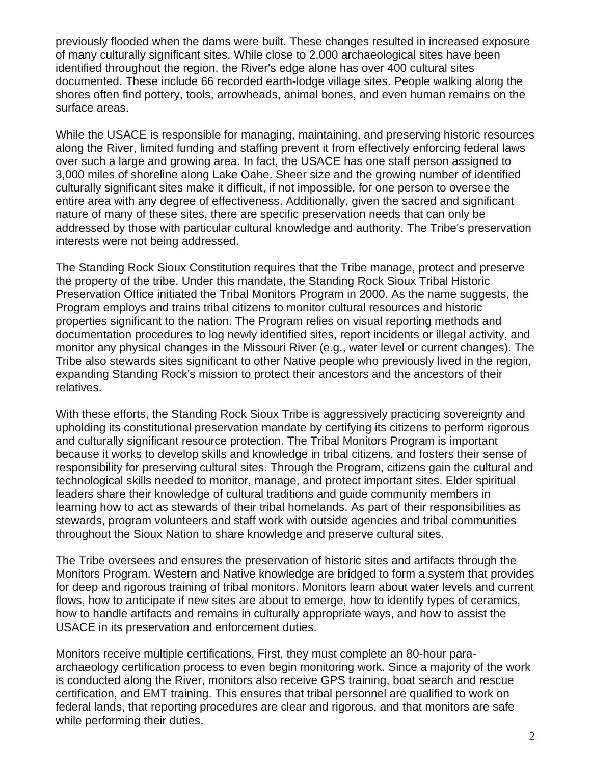previously flooded when the dams were built. These changes resulted in increased exposure of many culturally significant sites. While close to 2,000 archaeological sites have been identified throughout the region, the River's edge alone has over 400 cultural sites documented. These include 66 recorded earth-lodge village sites. People walking along the shores often find pottery, tools, arrowheads, animal bones, and even human remains on the surface areas.

While the USACE is responsible for managing, maintaining, and preserving historic resources along the River, limited funding and staffing prevent it from effectively enforcing federal laws over such a large and growing area. In fact, the USACE has one staff person assigned to 3,000 miles of shoreline along Lake Oahe. Sheer size and the growing number of identified culturally significant sites make it difficult, if not impossible, for one person to oversee the entire area with any degree of effectiveness. Additionally, given the sacred and significant nature of many of these sites, there are specific preservation needs that can only be addressed by those with particular cultural knowledge and authority. The Tribe's preservation interests were not being addressed.

The Standing Rock Sioux Constitution requires that the Tribe manage, protect and preserve the property of the tribe. Under this mandate, the Standing Rock Sioux Tribal Historic Preservation Office initiated the Tribal Monitors Program in 2000. As the name suggests, the Program employs and trains tribal citizens to monitor cultural resources and historic properties significant to the nation. The Program relies on visual reporting methods and documentation procedures to log newly identified sites, report incidents or illegal activity, and monitor any physical changes in the Missouri River (e.g., water level or current changes). The Tribe also stewards sites significant to other Native people who previously lived in the region, expanding Standing Rock's mission to protect their ancestors and the ancestors of their relatives.

With these efforts, the Standing Rock Sioux Tribe is aggressively practicing sovereignty and upholding its constitutional preservation mandate by certifying its citizens to perform rigorous and culturally significant resource protection. The Tribal Monitors Program is important because it works to develop skills and knowledge in tribal citizens, and fosters their sense of responsibility for preserving cultural sites. Through the Program, citizens gain the cultural and technological skills needed to monitor, manage, and protect important sites. Elder spiritual leaders share their knowledge of cultural traditions and guide community members in learning how to act as stewards of their tribal homelands. As part of their responsibilities as stewards, program volunteers and staff work with outside agencies and tribal communities throughout the Sioux Nation to share knowledge and preserve cultural sites.

The Tribe oversees and ensures the preservation of historic sites and artifacts through the Monitors Program. Western and Native knowledge are bridged to form a system that provides for deep and rigorous training of tribal monitors. Monitors learn about water levels and current flows, how to anticipate if new sites are about to emerge, how to identify types of ceramics, how to handle artifacts and remains in culturally appropriate ways, and how to assist the USACE in its preservation and enforcement duties.

Monitors receive multiple certifications. First, they must complete an 80-hour paraarchaeology certification process to even begin monitoring work. Since a majority of the work is conducted along the River, monitors also receive GPS training, boat search and rescue certification, and EMT training. This ensures that tribal personnel are qualified to work on federal lands, that reporting procedures are clear and rigorous, and that monitors are safe while performing their duties.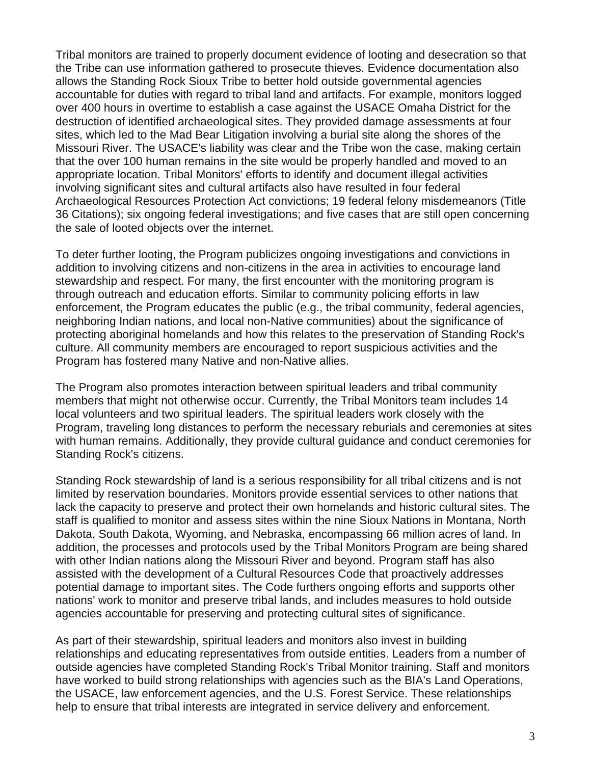Tribal monitors are trained to properly document evidence of looting and desecration so that the Tribe can use information gathered to prosecute thieves. Evidence documentation also allows the Standing Rock Sioux Tribe to better hold outside governmental agencies accountable for duties with regard to tribal land and artifacts. For example, monitors logged over 400 hours in overtime to establish a case against the USACE Omaha District for the destruction of identified archaeological sites. They provided damage assessments at four sites, which led to the Mad Bear Litigation involving a burial site along the shores of the Missouri River. The USACE's liability was clear and the Tribe won the case, making certain that the over 100 human remains in the site would be properly handled and moved to an appropriate location. Tribal Monitors' efforts to identify and document illegal activities involving significant sites and cultural artifacts also have resulted in four federal Archaeological Resources Protection Act convictions; 19 federal felony misdemeanors (Title 36 Citations); six ongoing federal investigations; and five cases that are still open concerning the sale of looted objects over the internet.

To deter further looting, the Program publicizes ongoing investigations and convictions in addition to involving citizens and non-citizens in the area in activities to encourage land stewardship and respect. For many, the first encounter with the monitoring program is through outreach and education efforts. Similar to community policing efforts in law enforcement, the Program educates the public (e.g., the tribal community, federal agencies, neighboring Indian nations, and local non-Native communities) about the significance of protecting aboriginal homelands and how this relates to the preservation of Standing Rock's culture. All community members are encouraged to report suspicious activities and the Program has fostered many Native and non-Native allies.

The Program also promotes interaction between spiritual leaders and tribal community members that might not otherwise occur. Currently, the Tribal Monitors team includes 14 local volunteers and two spiritual leaders. The spiritual leaders work closely with the Program, traveling long distances to perform the necessary reburials and ceremonies at sites with human remains. Additionally, they provide cultural guidance and conduct ceremonies for Standing Rock's citizens.

Standing Rock stewardship of land is a serious responsibility for all tribal citizens and is not limited by reservation boundaries. Monitors provide essential services to other nations that lack the capacity to preserve and protect their own homelands and historic cultural sites. The staff is qualified to monitor and assess sites within the nine Sioux Nations in Montana, North Dakota, South Dakota, Wyoming, and Nebraska, encompassing 66 million acres of land. In addition, the processes and protocols used by the Tribal Monitors Program are being shared with other Indian nations along the Missouri River and beyond. Program staff has also assisted with the development of a Cultural Resources Code that proactively addresses potential damage to important sites. The Code furthers ongoing efforts and supports other nations' work to monitor and preserve tribal lands, and includes measures to hold outside agencies accountable for preserving and protecting cultural sites of significance.

As part of their stewardship, spiritual leaders and monitors also invest in building relationships and educating representatives from outside entities. Leaders from a number of outside agencies have completed Standing Rock's Tribal Monitor training. Staff and monitors have worked to build strong relationships with agencies such as the BIA's Land Operations, the USACE, law enforcement agencies, and the U.S. Forest Service. These relationships help to ensure that tribal interests are integrated in service delivery and enforcement.